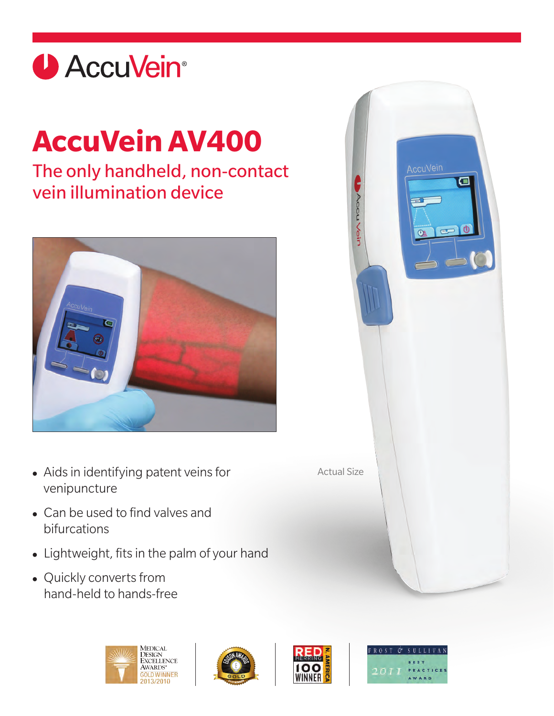

# **AccuVein AV400**

## The only handheld, non-contact vein illumination device



- **•** Aids in identifying patent veins for venipuncture
- **•** Can be used to find valves and bifurcations
- **•** Lightweight, fits in the palm of your hand
- **•** Quickly converts from hand-held to hands-free